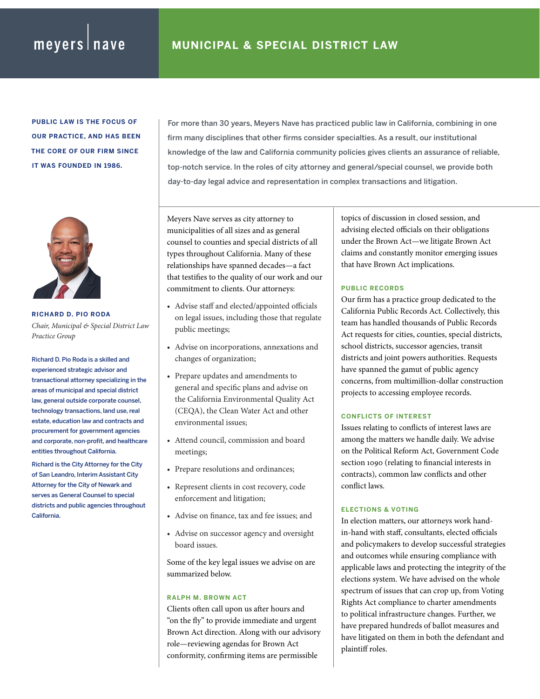# meyers nave

**PUBLIC LAW IS THE FOCUS OF OUR PRACTICE, AND HAS BEEN THE CORE OF OUR FIRM SINCE IT WAS FOUNDED IN 1986.**



**RICHARD D. PIO RODA** *Chair, Municipal & Special District Law Practice Group*

Richard D. Pio Roda is a skilled and experienced strategic advisor and transactional attorney specializing in the areas of municipal and special district law, general outside corporate counsel, technology transactions, land use, real estate, education law and contracts and procurement for government agencies and corporate, non-profit, and healthcare entities throughout California.

Richard is the City Attorney for the City of San Leandro, Interim Assistant City Attorney for the City of Newark and serves as General Counsel to special districts and public agencies throughout California.

For more than 30 years, Meyers Nave has practiced public law in California, combining in one firm many disciplines that other firms consider specialties. As a result, our institutional knowledge of the law and California community policies gives clients an assurance of reliable, top-notch service. In the roles of city attorney and general/special counsel, we provide both day-to-day legal advice and representation in complex transactions and litigation.

Meyers Nave serves as city attorney to municipalities of all sizes and as general counsel to counties and special districts of all types throughout California. Many of these relationships have spanned decades—a fact that testifies to the quality of our work and our commitment to clients. Our attorneys:

- Advise staff and elected/appointed officials on legal issues, including those that regulate public meetings;
- Advise on incorporations, annexations and changes of organization;
- Prepare updates and amendments to general and specific plans and advise on the California Environmental Quality Act (CEQA), the Clean Water Act and other environmental issues;
- Attend council, commission and board meetings;
- Prepare resolutions and ordinances;
- Represent clients in cost recovery, code enforcement and litigation;
- Advise on finance, tax and fee issues; and
- Advise on successor agency and oversight board issues.

Some of the key legal issues we advise on are summarized below.

## **RALPH M. BROWN ACT**

Clients often call upon us after hours and "on the fly" to provide immediate and urgent Brown Act direction. Along with our advisory role—reviewing agendas for Brown Act conformity, confirming items are permissible

topics of discussion in closed session, and advising elected officials on their obligations under the Brown Act—we litigate Brown Act claims and constantly monitor emerging issues that have Brown Act implications.

## **PUBLIC RECORDS**

Our firm has a practice group dedicated to the California Public Records Act. Collectively, this team has handled thousands of Public Records Act requests for cities, counties, special districts, school districts, successor agencies, transit districts and joint powers authorities. Requests have spanned the gamut of public agency concerns, from multimillion-dollar construction projects to accessing employee records.

## **CONFLICTS OF INTEREST**

Issues relating to conflicts of interest laws are among the matters we handle daily. We advise on the Political Reform Act, Government Code section 1090 (relating to financial interests in contracts), common law conflicts and other conflict laws.

### **ELECTIONS & VOTING**

In election matters, our attorneys work handin-hand with staff, consultants, elected officials and policymakers to develop successful strategies and outcomes while ensuring compliance with applicable laws and protecting the integrity of the elections system. We have advised on the whole spectrum of issues that can crop up, from Voting Rights Act compliance to charter amendments to political infrastructure changes. Further, we have prepared hundreds of ballot measures and have litigated on them in both the defendant and plaintiff roles.